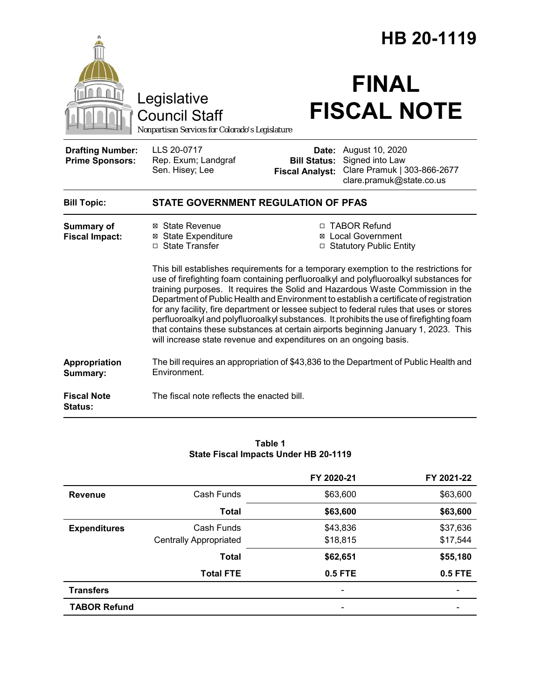|                                                   |                                                                                                                                                                                                                                                                                                                                                                                                                                                                                                                                                                                                                                                                                                                                                                                                                                                        |                                               | HB 20-1119                                                                                          |
|---------------------------------------------------|--------------------------------------------------------------------------------------------------------------------------------------------------------------------------------------------------------------------------------------------------------------------------------------------------------------------------------------------------------------------------------------------------------------------------------------------------------------------------------------------------------------------------------------------------------------------------------------------------------------------------------------------------------------------------------------------------------------------------------------------------------------------------------------------------------------------------------------------------------|-----------------------------------------------|-----------------------------------------------------------------------------------------------------|
|                                                   | Legislative<br><b>Council Staff</b><br>Nonpartisan Services for Colorado's Legislature                                                                                                                                                                                                                                                                                                                                                                                                                                                                                                                                                                                                                                                                                                                                                                 |                                               | <b>FINAL</b><br><b>FISCAL NOTE</b>                                                                  |
| <b>Drafting Number:</b><br><b>Prime Sponsors:</b> | LLS 20-0717<br>Rep. Exum; Landgraf<br>Sen. Hisey; Lee                                                                                                                                                                                                                                                                                                                                                                                                                                                                                                                                                                                                                                                                                                                                                                                                  | <b>Bill Status:</b><br><b>Fiscal Analyst:</b> | Date: August 10, 2020<br>Signed into Law<br>Clare Pramuk   303-866-2677<br>clare.pramuk@state.co.us |
| <b>Bill Topic:</b>                                | <b>STATE GOVERNMENT REGULATION OF PFAS</b>                                                                                                                                                                                                                                                                                                                                                                                                                                                                                                                                                                                                                                                                                                                                                                                                             |                                               |                                                                                                     |
| Summary of<br><b>Fiscal Impact:</b>               | ⊠ State Revenue<br>□ TABOR Refund<br><b>⊠</b> State Expenditure<br>⊠ Local Government<br>□ State Transfer<br>□ Statutory Public Entity<br>This bill establishes requirements for a temporary exemption to the restrictions for<br>use of firefighting foam containing perfluoroalkyl and polyfluoroalkyl substances for<br>training purposes. It requires the Solid and Hazardous Waste Commission in the<br>Department of Public Health and Environment to establish a certificate of registration<br>for any facility, fire department or lessee subject to federal rules that uses or stores<br>perfluoroalkyl and polyfluoroalkyl substances. It prohibits the use of firefighting foam<br>that contains these substances at certain airports beginning January 1, 2023. This<br>will increase state revenue and expenditures on an ongoing basis. |                                               |                                                                                                     |
| Appropriation<br>Summary:                         | Environment.                                                                                                                                                                                                                                                                                                                                                                                                                                                                                                                                                                                                                                                                                                                                                                                                                                           |                                               | The bill requires an appropriation of \$43,836 to the Department of Public Health and               |
| <b>Fiscal Note</b><br><b>Status:</b>              | The fiscal note reflects the enacted bill.                                                                                                                                                                                                                                                                                                                                                                                                                                                                                                                                                                                                                                                                                                                                                                                                             |                                               |                                                                                                     |

|                     |                               | FY 2020-21               | FY 2021-22 |
|---------------------|-------------------------------|--------------------------|------------|
| <b>Revenue</b>      | Cash Funds                    | \$63,600                 | \$63,600   |
|                     | <b>Total</b>                  | \$63,600                 | \$63,600   |
| <b>Expenditures</b> | Cash Funds                    | \$43,836                 | \$37,636   |
|                     | <b>Centrally Appropriated</b> | \$18,815                 | \$17,544   |
|                     | <b>Total</b>                  | \$62,651                 | \$55,180   |
|                     | <b>Total FTE</b>              | 0.5 FTE                  | 0.5 FTE    |
| <b>Transfers</b>    |                               | $\overline{\phantom{a}}$ |            |
| <b>TABOR Refund</b> |                               | $\overline{\phantom{a}}$ |            |

#### **Table 1 State Fiscal Impacts Under HB 20-1119**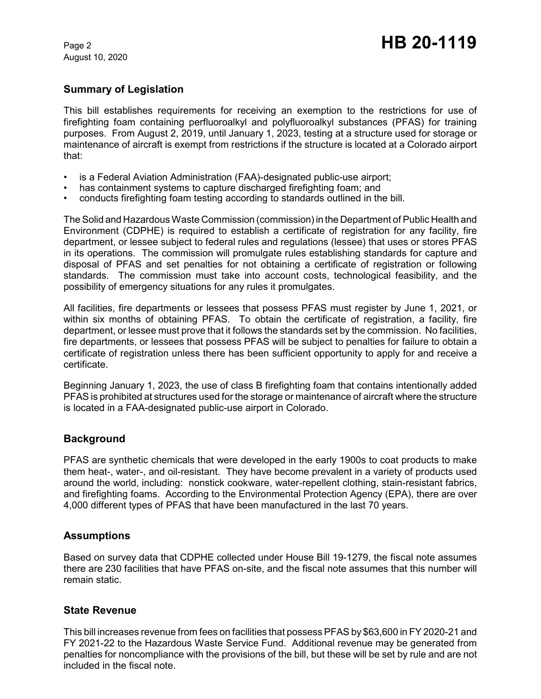August 10, 2020

# **Summary of Legislation**

This bill establishes requirements for receiving an exemption to the restrictions for use of firefighting foam containing perfluoroalkyl and polyfluoroalkyl substances (PFAS) for training purposes. From August 2, 2019, until January 1, 2023, testing at a structure used for storage or maintenance of aircraft is exempt from restrictions if the structure is located at a Colorado airport that:

- is a Federal Aviation Administration (FAA)-designated public-use airport;
- has containment systems to capture discharged firefighting foam; and
- conducts firefighting foam testing according to standards outlined in the bill.

The Solid and Hazardous Waste Commission (commission) in the Department of Public Health and Environment (CDPHE) is required to establish a certificate of registration for any facility, fire department, or lessee subject to federal rules and regulations (lessee) that uses or stores PFAS in its operations. The commission will promulgate rules establishing standards for capture and disposal of PFAS and set penalties for not obtaining a certificate of registration or following standards. The commission must take into account costs, technological feasibility, and the possibility of emergency situations for any rules it promulgates.

All facilities, fire departments or lessees that possess PFAS must register by June 1, 2021, or within six months of obtaining PFAS. To obtain the certificate of registration, a facility, fire department, or lessee must prove that it follows the standards set by the commission. No facilities, fire departments, or lessees that possess PFAS will be subject to penalties for failure to obtain a certificate of registration unless there has been sufficient opportunity to apply for and receive a certificate.

Beginning January 1, 2023, the use of class B firefighting foam that contains intentionally added PFAS is prohibited at structures used for the storage or maintenance of aircraft where the structure is located in a FAA-designated public-use airport in Colorado.

# **Background**

PFAS are synthetic chemicals that were developed in the early 1900s to coat products to make them heat-, water-, and oil-resistant. They have become prevalent in a variety of products used around the world, including: nonstick cookware, water-repellent clothing, stain-resistant fabrics, and firefighting foams. According to the Environmental Protection Agency (EPA), there are over 4,000 different types of PFAS that have been manufactured in the last 70 years.

# **Assumptions**

Based on survey data that CDPHE collected under House Bill 19-1279, the fiscal note assumes there are 230 facilities that have PFAS on-site, and the fiscal note assumes that this number will remain static.

# **State Revenue**

This bill increases revenue from fees on facilities that possess PFAS by \$63,600 in FY 2020-21 and FY 2021-22 to the Hazardous Waste Service Fund. Additional revenue may be generated from penalties for noncompliance with the provisions of the bill, but these will be set by rule and are not included in the fiscal note.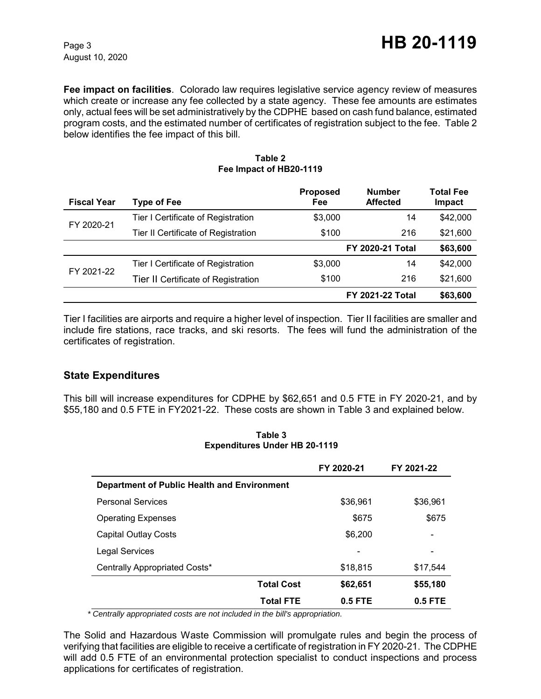August 10, 2020

**Fee impact on facilities**. Colorado law requires legislative service agency review of measures which create or increase any fee collected by a state agency. These fee amounts are estimates only, actual fees will be set administratively by the CDPHE based on cash fund balance, estimated program costs, and the estimated number of certificates of registration subject to the fee. Table 2 below identifies the fee impact of this bill.

| <b>Fiscal Year</b> | <b>Type of Fee</b>                  | <b>Proposed</b><br>Fee | <b>Number</b><br><b>Affected</b> | <b>Total Fee</b><br>Impact |
|--------------------|-------------------------------------|------------------------|----------------------------------|----------------------------|
| FY 2020-21         | Tier I Certificate of Registration  | \$3,000                | 14                               | \$42,000                   |
|                    | Tier II Certificate of Registration | \$100                  | 216                              | \$21,600                   |
|                    |                                     |                        | <b>FY 2020-21 Total</b>          | \$63,600                   |
| FY 2021-22         | Tier I Certificate of Registration  | \$3,000                | 14                               | \$42,000                   |
|                    | Tier II Certificate of Registration | \$100                  | 216                              | \$21,600                   |
|                    |                                     |                        | <b>FY 2021-22 Total</b>          | \$63,600                   |

#### **Table 2 Fee Impact of HB20-1119**

Tier I facilities are airports and require a higher level of inspection. Tier II facilities are smaller and include fire stations, race tracks, and ski resorts. The fees will fund the administration of the certificates of registration.

# **State Expenditures**

This bill will increase expenditures for CDPHE by \$62,651 and 0.5 FTE in FY 2020-21, and by \$55,180 and 0.5 FTE in FY2021-22. These costs are shown in Table 3 and explained below.

|                                             | FY 2020-21 | FY 2021-22 |
|---------------------------------------------|------------|------------|
| Department of Public Health and Environment |            |            |
| <b>Personal Services</b>                    | \$36,961   | \$36,961   |
| <b>Operating Expenses</b>                   | \$675      | \$675      |
| <b>Capital Outlay Costs</b>                 | \$6,200    | -          |
| <b>Legal Services</b>                       |            | -          |
| Centrally Appropriated Costs*               | \$18,815   | \$17,544   |
| <b>Total Cost</b>                           | \$62,651   | \$55,180   |
| <b>Total FTE</b>                            | $0.5$ FTE  | $0.5$ FTE  |

**Table 3 Expenditures Under HB 20-1119**

 *\* Centrally appropriated costs are not included in the bill's appropriation.*

The Solid and Hazardous Waste Commission will promulgate rules and begin the process of verifying that facilities are eligible to receive a certificate of registration in FY 2020-21. The CDPHE will add 0.5 FTE of an environmental protection specialist to conduct inspections and process applications for certificates of registration.